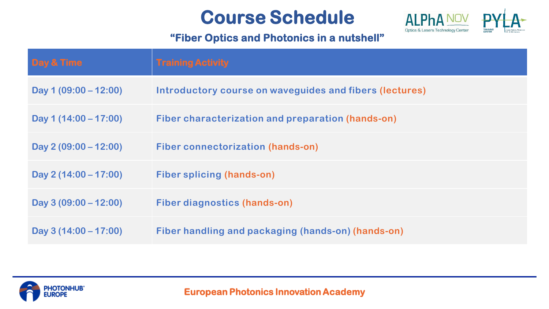# **Course Schedule**



## **"Fiber Optics and Photonics in a nutshell"**

| Day & Time              | <b>Training Activity</b>                                |
|-------------------------|---------------------------------------------------------|
| Day 1 $(09:00 - 12:00)$ | Introductory course on waveguides and fibers (lectures) |
| Day 1 $(14:00 - 17:00)$ | Fiber characterization and preparation (hands-on)       |
| Day $2(09:00 - 12:00)$  | Fiber connectorization (hands-on)                       |
| Day 2 $(14:00 - 17:00)$ | <b>Fiber splicing (hands-on)</b>                        |
| Day $3(09:00 - 12:00)$  | Fiber diagnostics (hands-on)                            |
| Day $3(14:00 - 17:00)$  | Fiber handling and packaging (hands-on) (hands-on)      |

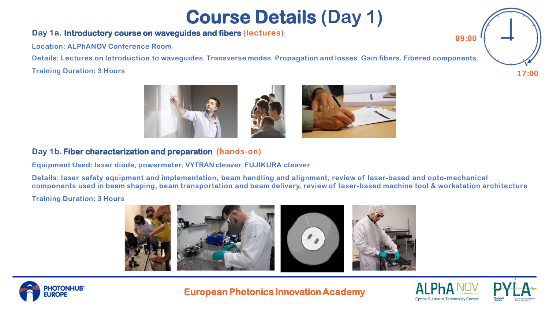# **Course Details (Day 1)**

### **Day 1a. Introductory course on waveguides and fibers (lectures)**

**Location: ALPhANOV Conference Room**

Details: Lectures on Introduction to waveguides. Transverse modes. Propagation and losses. Gain fibers. Fibered components.

#### **Training Duration: 3 Hours**



### **Day 1b. Fiber characterization and preparation (hands-on)**

**Equipment Used: laser diode, powermeter, VYTRAN cleaver, FUJIKURA cleaver**

**Details: laser safety equipment and implementation, beam handling and alignment, review of laser-based and opto-mechanical**  components used in beam shaping, beam transportation and beam delivery, review of laser-based machine tool & workstation architecture

#### **Training Duration: 3 Hours**





**European Photonics Innovation Academy**





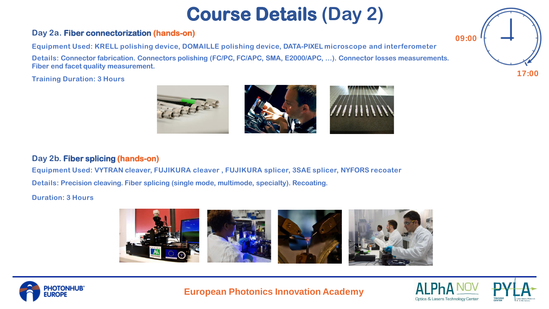# **Course Details (Day 2)**

### **Day 2a. Fiber connectorization (hands-on)**

**Equipment Used: KRELL polishing device, DOMAILLE polishing device, DATA-PIXEL microscope and interferometer Details: Connector fabrication. Connectors polishing (FC/PC, FC/APC, SMA, E2000/APC, …). Connector losses measurements. Fiber end facet quality measurement.**

**Training Duration: 3 Hours**



### **Day 2b. Fiber splicing (hands-on)**

**Equipment Used: VYTRAN cleaver, FUJIKURA cleaver , FUJIKURA splicer, 3SAE splicer, NYFORS recoater**

**Details: Precision cleaving. Fiber splicing (single mode, multimode, specialty). Recoating.**

#### **Duration: 3 Hours**





**European Photonics Innovation Academy**